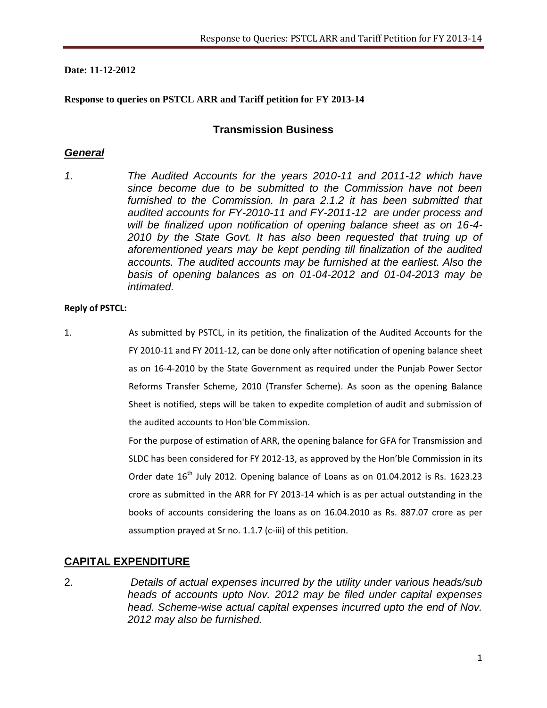#### **Date: 11-12-2012**

#### **Response to queries on PSTCL ARR and Tariff petition for FY 2013-14**

## **Transmission Business**

## *General*

*1. The Audited Accounts for the years 2010-11 and 2011-12 which have since become due to be submitted to the Commission have not been furnished to the Commission. In para 2.1.2 it has been submitted that audited accounts for FY-2010-11 and FY-2011-12 are under process and will be finalized upon notification of opening balance sheet as on 16-4- 2010 by the State Govt. It has also been requested that truing up of aforementioned years may be kept pending till finalization of the audited accounts. The audited accounts may be furnished at the earliest. Also the basis of opening balances as on 01-04-2012 and 01-04-2013 may be intimated.*

#### **Reply of PSTCL:**

1. As submitted by PSTCL, in its petition, the finalization of the Audited Accounts for the FY 2010-11 and FY 2011-12, can be done only after notification of opening balance sheet as on 16-4-2010 by the State Government as required under the Punjab Power Sector Reforms Transfer Scheme, 2010 (Transfer Scheme). As soon as the opening Balance Sheet is notified, steps will be taken to expedite completion of audit and submission of the audited accounts to Hon'ble Commission.

> For the purpose of estimation of ARR, the opening balance for GFA for Transmission and SLDC has been considered for FY 2012-13, as approved by the Hon'ble Commission in its Order date  $16^{th}$  July 2012. Opening balance of Loans as on 01.04.2012 is Rs. 1623.23 crore as submitted in the ARR for FY 2013-14 which is as per actual outstanding in the books of accounts considering the loans as on 16.04.2010 as Rs. 887.07 crore as per assumption prayed at Sr no. 1.1.7 (c-iii) of this petition.

## **CAPITAL EXPENDITURE**

2*. Details of actual expenses incurred by the utility under various heads/sub heads of accounts upto Nov. 2012 may be filed under capital expenses head. Scheme-wise actual capital expenses incurred upto the end of Nov. 2012 may also be furnished.*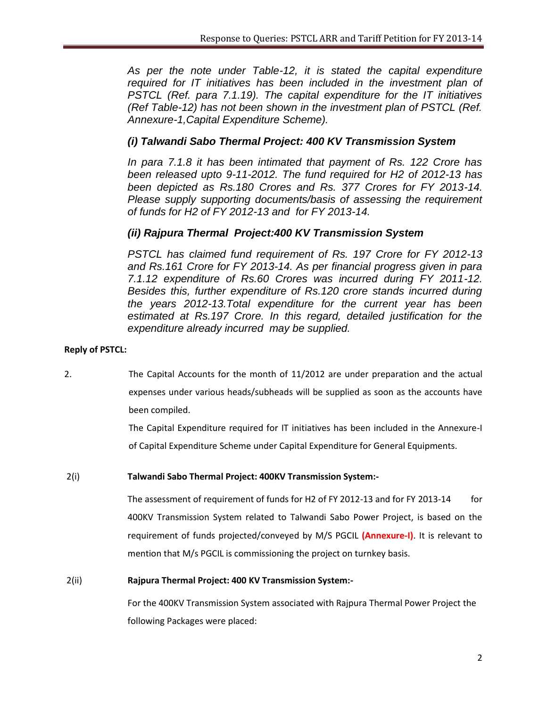As per the note under Table-12, it is stated the capital expenditure *required for IT initiatives has been included in the investment plan of PSTCL (Ref. para 7.1.19). The capital expenditure for the IT initiatives (Ref Table-12) has not been shown in the investment plan of PSTCL (Ref. Annexure-1,Capital Expenditure Scheme).*

## *(i) Talwandi Sabo Thermal Project: 400 KV Transmission System*

*In para 7.1.8 it has been intimated that payment of Rs. 122 Crore has been released upto 9-11-2012. The fund required for H2 of 2012-13 has been depicted as Rs.180 Crores and Rs. 377 Crores for FY 2013-14. Please supply supporting documents/basis of assessing the requirement of funds for H2 of FY 2012-13 and for FY 2013-14.*

## *(ii) Rajpura Thermal Project:400 KV Transmission System*

*PSTCL has claimed fund requirement of Rs. 197 Crore for FY 2012-13 and Rs.161 Crore for FY 2013-14. As per financial progress given in para 7.1.12 expenditure of Rs.60 Crores was incurred during FY 2011-12. Besides this, further expenditure of Rs.120 crore stands incurred during the years 2012-13.Total expenditure for the current year has been estimated at Rs.197 Crore. In this regard, detailed justification for the expenditure already incurred may be supplied.*

### **Reply of PSTCL:**

2. The Capital Accounts for the month of 11/2012 are under preparation and the actual expenses under various heads/subheads will be supplied as soon as the accounts have been compiled.

> The Capital Expenditure required for IT initiatives has been included in the Annexure-I of Capital Expenditure Scheme under Capital Expenditure for General Equipments.

### 2(i) **Talwandi Sabo Thermal Project: 400KV Transmission System:-**

The assessment of requirement of funds for H2 of FY 2012-13 and for FY 2013-14 for 400KV Transmission System related to Talwandi Sabo Power Project, is based on the requirement of funds projected/conveyed by M/S PGCIL **(Annexure-I)**. It is relevant to mention that M/s PGCIL is commissioning the project on turnkey basis.

#### 2(ii) **Rajpura Thermal Project: 400 KV Transmission System:-**

For the 400KV Transmission System associated with Rajpura Thermal Power Project the following Packages were placed: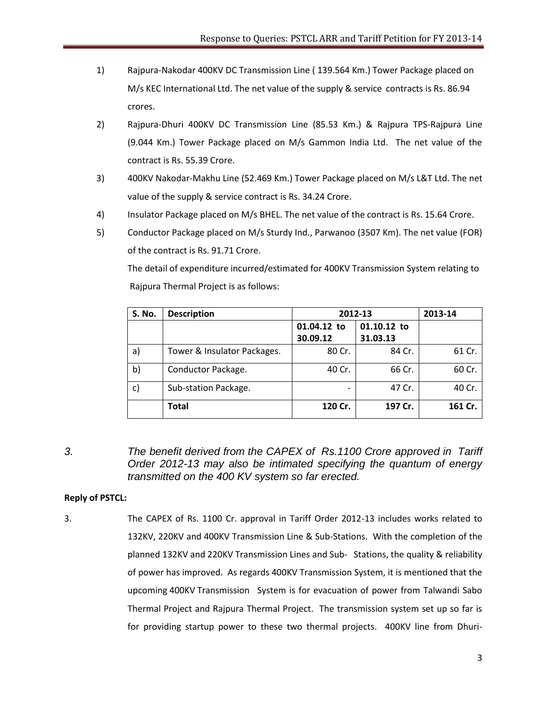- 1) Rajpura-Nakodar 400KV DC Transmission Line ( 139.564 Km.) Tower Package placed on M/s KEC International Ltd. The net value of the supply & service contracts is Rs. 86.94 crores.
- 2) Rajpura-Dhuri 400KV DC Transmission Line (85.53 Km.) & Rajpura TPS-Rajpura Line (9.044 Km.) Tower Package placed on M/s Gammon India Ltd. The net value of the contract is Rs. 55.39 Crore.
- 3) 400KV Nakodar-Makhu Line (52.469 Km.) Tower Package placed on M/s L&T Ltd. The net value of the supply & service contract is Rs. 34.24 Crore.
- 4) Insulator Package placed on M/s BHEL. The net value of the contract is Rs. 15.64 Crore.
- 5) Conductor Package placed on M/s Sturdy Ind., Parwanoo (3507 Km). The net value (FOR) of the contract is Rs. 91.71 Crore.

The detail of expenditure incurred/estimated for 400KV Transmission System relating to Rajpura Thermal Project is as follows:

| <b>S. No.</b> | <b>Description</b>          | 2012-13                    | 2013-14  |         |
|---------------|-----------------------------|----------------------------|----------|---------|
|               |                             | 01.10.12 to<br>01.04.12 to |          |         |
|               |                             | 30.09.12                   | 31.03.13 |         |
| a)            | Tower & Insulator Packages. | 80 Cr.                     | 84 Cr.   | 61 Cr.  |
| b)            | Conductor Package.          | 40 Cr.                     | 66 Cr.   | 60 Cr.  |
| $\mathsf{C}$  | Sub-station Package.        |                            | 47 Cr.   | 40 Cr.  |
|               | <b>Total</b>                | 120 Cr.                    | 197 Cr.  | 161 Cr. |

*3. The benefit derived from the CAPEX of Rs.1100 Crore approved in Tariff Order 2012-13 may also be intimated specifying the quantum of energy transmitted on the 400 KV system so far erected.*

#### **Reply of PSTCL:**

3. The CAPEX of Rs. 1100 Cr. approval in Tariff Order 2012-13 includes works related to 132KV, 220KV and 400KV Transmission Line & Sub-Stations. With the completion of the planned 132KV and 220KV Transmission Lines and Sub- Stations, the quality & reliability of power has improved. As regards 400KV Transmission System, it is mentioned that the upcoming 400KV Transmission System is for evacuation of power from Talwandi Sabo Thermal Project and Rajpura Thermal Project. The transmission system set up so far is for providing startup power to these two thermal projects. 400KV line from Dhuri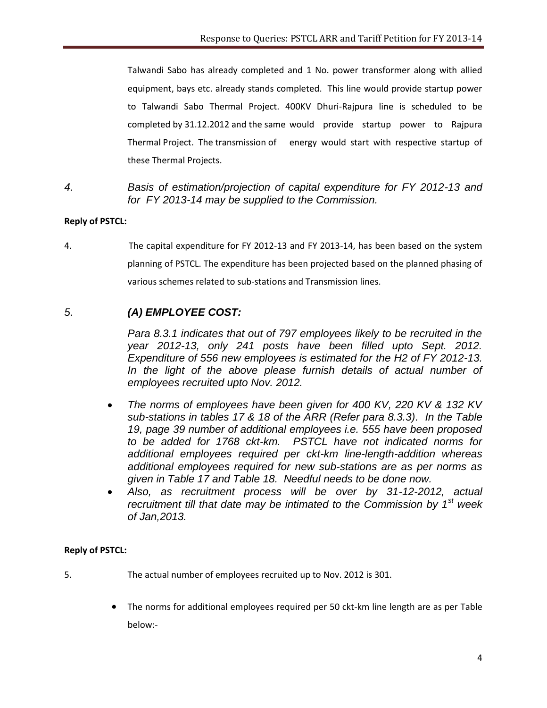Talwandi Sabo has already completed and 1 No. power transformer along with allied equipment, bays etc. already stands completed. This line would provide startup power to Talwandi Sabo Thermal Project. 400KV Dhuri-Rajpura line is scheduled to be completed by 31.12.2012 and the same would provide startup power to Rajpura Thermal Project. The transmission of energy would start with respective startup of these Thermal Projects.

*4. Basis of estimation/projection of capital expenditure for FY 2012-13 and for FY 2013-14 may be supplied to the Commission.*

## **Reply of PSTCL:**

4. The capital expenditure for FY 2012-13 and FY 2013-14, has been based on the system planning of PSTCL. The expenditure has been projected based on the planned phasing of various schemes related to sub-stations and Transmission lines.

# *5. (A) EMPLOYEE COST:*

*Para 8.3.1 indicates that out of 797 employees likely to be recruited in the year 2012-13, only 241 posts have been filled upto Sept. 2012. Expenditure of 556 new employees is estimated for the H2 of FY 2012-13. In the light of the above please furnish details of actual number of employees recruited upto Nov. 2012.*

- *The norms of employees have been given for 400 KV, 220 KV & 132 KV sub-stations in tables 17 & 18 of the ARR (Refer para 8.3.3). In the Table 19, page 39 number of additional employees i.e. 555 have been proposed to be added for 1768 ckt-km. PSTCL have not indicated norms for additional employees required per ckt-km line-length-addition whereas additional employees required for new sub-stations are as per norms as given in Table 17 and Table 18. Needful needs to be done now.*
- *Also, as recruitment process will be over by 31-12-2012, actual recruitment till that date may be intimated to the Commission by 1st week of Jan,2013.*

- 5. The actual number of employees recruited up to Nov. 2012 is 301.
	- The norms for additional employees required per 50 ckt-km line length are as per Table below:-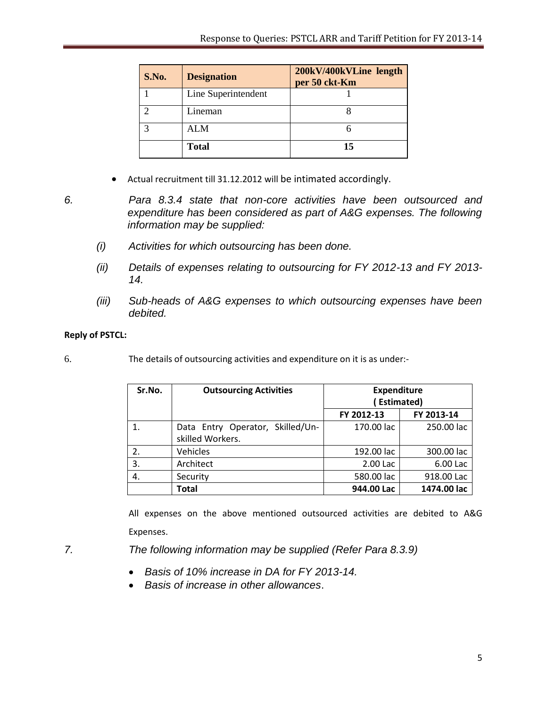| S.No. | <b>Designation</b>  | 200kV/400kVLine length<br>per 50 ckt-Km |
|-------|---------------------|-----------------------------------------|
|       | Line Superintendent |                                         |
|       | Lineman             |                                         |
|       | <b>ALM</b>          |                                         |
|       | <b>Total</b>        | 15                                      |

Actual recruitment till 31.12.2012 will be intimated accordingly.

*6. Para 8.3.4 state that non-core activities have been outsourced and expenditure has been considered as part of A&G expenses. The following information may be supplied:*

- *(i) Activities for which outsourcing has been done.*
- *(ii) Details of expenses relating to outsourcing for FY 2012-13 and FY 2013- 14.*
- *(iii) Sub-heads of A&G expenses to which outsourcing expenses have been debited.*

## **Reply of PSTCL:**

6. The details of outsourcing activities and expenditure on it is as under:-

| Sr.No. | <b>Outsourcing Activities</b>                        | <b>Expenditure</b><br><b>Estimated)</b> |             |
|--------|------------------------------------------------------|-----------------------------------------|-------------|
|        |                                                      | FY 2012-13                              | FY 2013-14  |
|        | Data Entry Operator, Skilled/Un-<br>skilled Workers. | 170.00 lac                              | 250.00 lac  |
| 2.     | Vehicles                                             | 192.00 lac                              | 300.00 lac  |
| 3.     | Architect                                            | 2.00 Lac                                | 6.00 Lac    |
| 4.     | Security                                             | 580.00 lac                              | 918.00 Lac  |
|        | <b>Total</b>                                         | 944.00 Lac                              | 1474.00 lac |

All expenses on the above mentioned outsourced activities are debited to A&G Expenses.

*7. The following information may be supplied (Refer Para 8.3.9)*

- *Basis of 10% increase in DA for FY 2013-14.*
- *Basis of increase in other allowances*.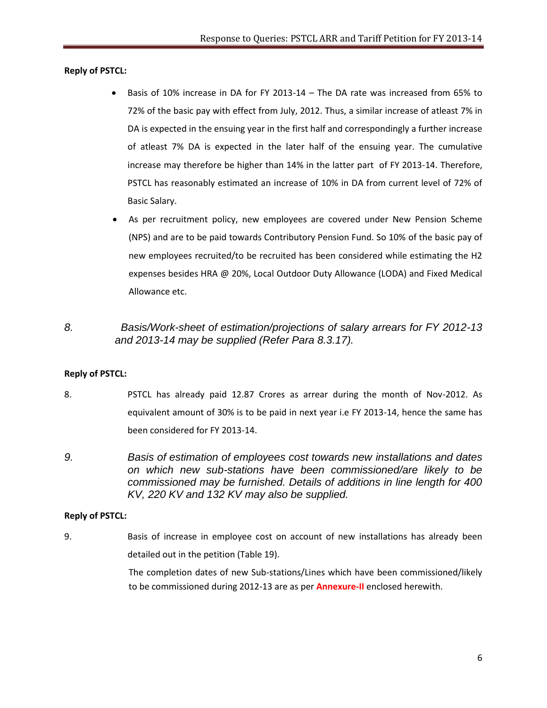#### **Reply of PSTCL:**

- Basis of 10% increase in DA for FY 2013-14 The DA rate was increased from 65% to 72% of the basic pay with effect from July, 2012. Thus, a similar increase of atleast 7% in DA is expected in the ensuing year in the first half and correspondingly a further increase of atleast 7% DA is expected in the later half of the ensuing year. The cumulative increase may therefore be higher than 14% in the latter part of FY 2013-14. Therefore, PSTCL has reasonably estimated an increase of 10% in DA from current level of 72% of Basic Salary.
- As per recruitment policy, new employees are covered under New Pension Scheme (NPS) and are to be paid towards Contributory Pension Fund. So 10% of the basic pay of new employees recruited/to be recruited has been considered while estimating the H2 expenses besides HRA @ 20%, Local Outdoor Duty Allowance (LODA) and Fixed Medical Allowance etc.
- *8. Basis/Work-sheet of estimation/projections of salary arrears for FY 2012-13 and 2013-14 may be supplied (Refer Para 8.3.17).*

### **Reply of PSTCL:**

- 8. PSTCL has already paid 12.87 Crores as arrear during the month of Nov-2012. As equivalent amount of 30% is to be paid in next year i.e FY 2013-14, hence the same has been considered for FY 2013-14.
- *9. Basis of estimation of employees cost towards new installations and dates on which new sub-stations have been commissioned/are likely to be commissioned may be furnished. Details of additions in line length for 400 KV, 220 KV and 132 KV may also be supplied.*

#### **Reply of PSTCL:**

9. Basis of increase in employee cost on account of new installations has already been detailed out in the petition (Table 19).

> The completion dates of new Sub-stations/Lines which have been commissioned/likely to be commissioned during 2012-13 are as per **Annexure-II** enclosed herewith.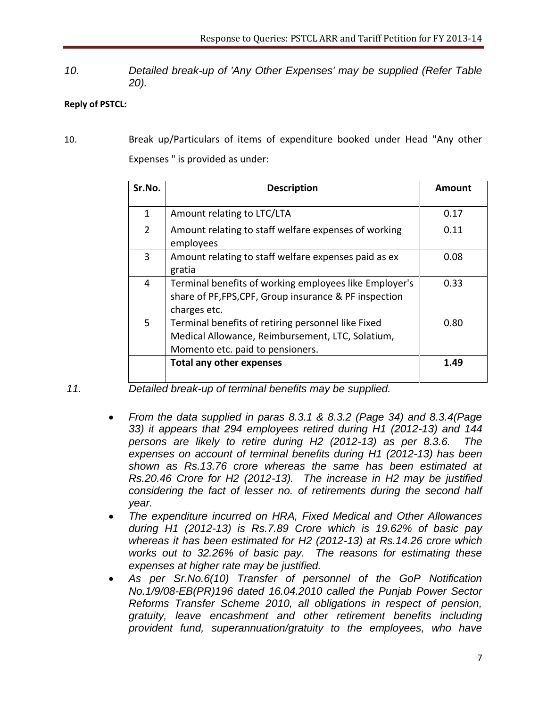*10. Detailed break-up of 'Any Other Expenses' may be supplied (Refer Table 20).*

## **Reply of PSTCL:**

10. Break up/Particulars of items of expenditure booked under Head "Any other Expenses " is provided as under:

| Sr.No.        | <b>Description</b>                                                                                                                         | Amount |
|---------------|--------------------------------------------------------------------------------------------------------------------------------------------|--------|
| 1             | Amount relating to LTC/LTA                                                                                                                 | 0.17   |
| $\mathcal{P}$ | Amount relating to staff welfare expenses of working<br>employees                                                                          | 0.11   |
| 3             | Amount relating to staff welfare expenses paid as ex<br>gratia                                                                             | 0.08   |
| 4             | Terminal benefits of working employees like Employer's<br>share of PF, FPS, CPF, Group insurance & PF inspection<br>charges etc.           | 0.33   |
| 5             | Terminal benefits of retiring personnel like Fixed<br>Medical Allowance, Reimbursement, LTC, Solatium,<br>Momento etc. paid to pensioners. | 0.80   |
|               | <b>Total any other expenses</b>                                                                                                            | 1.49   |

- *11. Detailed break-up of terminal benefits may be supplied.*
	- *From the data supplied in paras 8.3.1 & 8.3.2 (Page 34) and 8.3.4(Page 33) it appears that 294 employees retired during H1 (2012-13) and 144 persons are likely to retire during H2 (2012-13) as per 8.3.6. The expenses on account of terminal benefits during H1 (2012-13) has been shown as Rs.13.76 crore whereas the same has been estimated at Rs.20.46 Crore for H2 (2012-13). The increase in H2 may be justified considering the fact of lesser no. of retirements during the second half year.*
	- *The expenditure incurred on HRA, Fixed Medical and Other Allowances during H1 (2012-13) is Rs.7.89 Crore which is 19.62% of basic pay whereas it has been estimated for H2 (2012-13) at Rs.14.26 crore which works out to 32.26% of basic pay. The reasons for estimating these expenses at higher rate may be justified.*
	- *As per Sr.No.6(10) Transfer of personnel of the GoP Notification No.1/9/08-EB(PR)196 dated 16.04.2010 called the Punjab Power Sector Reforms Transfer Scheme 2010, all obligations in respect of pension, gratuity, leave encashment and other retirement benefits including provident fund, superannuation/gratuity to the employees, who have*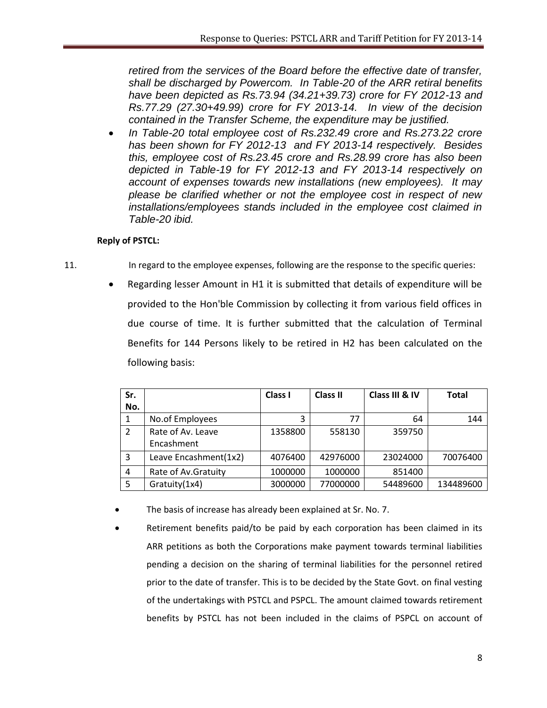*retired from the services of the Board before the effective date of transfer, shall be discharged by Powercom. In Table-20 of the ARR retiral benefits have been depicted as Rs.73.94 (34.21+39.73) crore for FY 2012-13 and Rs.77.29 (27.30+49.99) crore for FY 2013-14. In view of the decision contained in the Transfer Scheme, the expenditure may be justified.*

 *In Table-20 total employee cost of Rs.232.49 crore and Rs.273.22 crore has been shown for FY 2012-13 and FY 2013-14 respectively. Besides this, employee cost of Rs.23.45 crore and Rs.28.99 crore has also been depicted in Table-19 for FY 2012-13 and FY 2013-14 respectively on account of expenses towards new installations (new employees). It may please be clarified whether or not the employee cost in respect of new installations/employees stands included in the employee cost claimed in Table-20 ibid.*

- 11. In regard to the employee expenses, following are the response to the specific queries:
	- Regarding lesser Amount in H1 it is submitted that details of expenditure will be provided to the Hon'ble Commission by collecting it from various field offices in due course of time. It is further submitted that the calculation of Terminal Benefits for 144 Persons likely to be retired in H2 has been calculated on the following basis:

| Sr. |                       | Class I | <b>Class II</b> | Class III & IV | <b>Total</b> |
|-----|-----------------------|---------|-----------------|----------------|--------------|
| No. |                       |         |                 |                |              |
| 1   | No.of Employees       | 3       | 77              | 64             | 144          |
| 2   | Rate of Av. Leave     | 1358800 | 558130          | 359750         |              |
|     | Encashment            |         |                 |                |              |
| 3   | Leave Encashment(1x2) | 4076400 | 42976000        | 23024000       | 70076400     |
| 4   | Rate of Av. Gratuity  | 1000000 | 1000000         | 851400         |              |
| 5   | Gratuity(1x4)         | 3000000 | 77000000        | 54489600       | 134489600    |

- The basis of increase has already been explained at Sr. No. 7.
- Retirement benefits paid/to be paid by each corporation has been claimed in its ARR petitions as both the Corporations make payment towards terminal liabilities pending a decision on the sharing of terminal liabilities for the personnel retired prior to the date of transfer. This is to be decided by the State Govt. on final vesting of the undertakings with PSTCL and PSPCL. The amount claimed towards retirement benefits by PSTCL has not been included in the claims of PSPCL on account of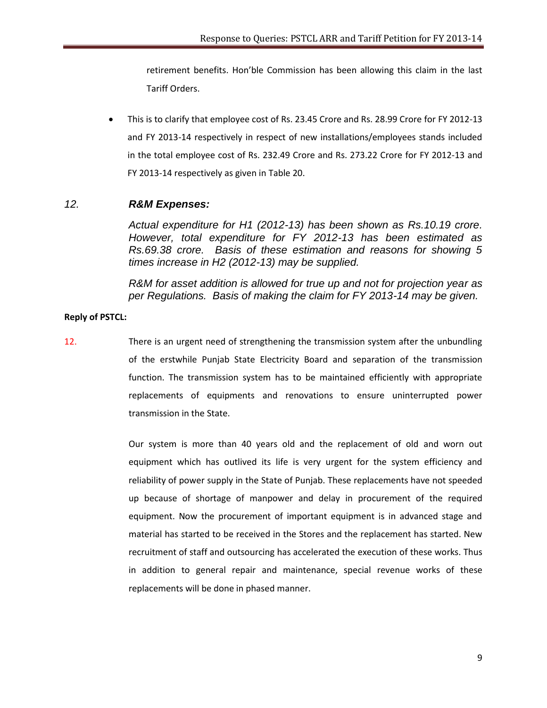retirement benefits. Hon'ble Commission has been allowing this claim in the last Tariff Orders.

 This is to clarify that employee cost of Rs. 23.45 Crore and Rs. 28.99 Crore for FY 2012-13 and FY 2013-14 respectively in respect of new installations/employees stands included in the total employee cost of Rs. 232.49 Crore and Rs. 273.22 Crore for FY 2012-13 and FY 2013-14 respectively as given in Table 20.

#### *12. R&M Expenses:*

*Actual expenditure for H1 (2012-13) has been shown as Rs.10.19 crore. However, total expenditure for FY 2012-13 has been estimated as Rs.69.38 crore. Basis of these estimation and reasons for showing 5 times increase in H2 (2012-13) may be supplied.*

*R&M for asset addition is allowed for true up and not for projection year as per Regulations. Basis of making the claim for FY 2013-14 may be given.*

#### **Reply of PSTCL:**

12. There is an urgent need of strengthening the transmission system after the unbundling of the erstwhile Punjab State Electricity Board and separation of the transmission function. The transmission system has to be maintained efficiently with appropriate replacements of equipments and renovations to ensure uninterrupted power transmission in the State.

> Our system is more than 40 years old and the replacement of old and worn out equipment which has outlived its life is very urgent for the system efficiency and reliability of power supply in the State of Punjab. These replacements have not speeded up because of shortage of manpower and delay in procurement of the required equipment. Now the procurement of important equipment is in advanced stage and material has started to be received in the Stores and the replacement has started. New recruitment of staff and outsourcing has accelerated the execution of these works. Thus in addition to general repair and maintenance, special revenue works of these replacements will be done in phased manner.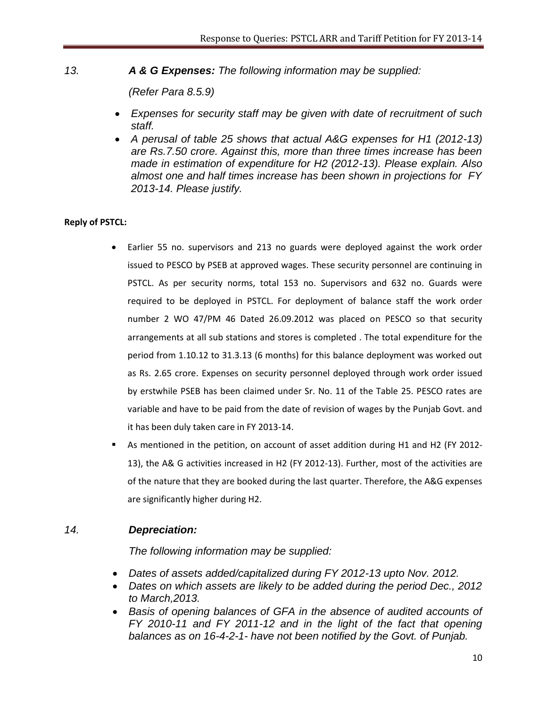*13. A & G Expenses: The following information may be supplied:*

 *(Refer Para 8.5.9)*

- *Expenses for security staff may be given with date of recruitment of such staff.*
- *A perusal of table 25 shows that actual A&G expenses for H1 (2012-13) are Rs.7.50 crore. Against this, more than three times increase has been made in estimation of expenditure for H2 (2012-13). Please explain. Also almost one and half times increase has been shown in projections for FY 2013-14. Please justify.*

## **Reply of PSTCL:**

- Earlier 55 no. supervisors and 213 no guards were deployed against the work order issued to PESCO by PSEB at approved wages. These security personnel are continuing in PSTCL. As per security norms, total 153 no. Supervisors and 632 no. Guards were required to be deployed in PSTCL. For deployment of balance staff the work order number 2 WO 47/PM 46 Dated 26.09.2012 was placed on PESCO so that security arrangements at all sub stations and stores is completed . The total expenditure for the period from 1.10.12 to 31.3.13 (6 months) for this balance deployment was worked out as Rs. 2.65 crore. Expenses on security personnel deployed through work order issued by erstwhile PSEB has been claimed under Sr. No. 11 of the Table 25. PESCO rates are variable and have to be paid from the date of revision of wages by the Punjab Govt. and it has been duly taken care in FY 2013-14.
- As mentioned in the petition, on account of asset addition during H1 and H2 (FY 2012- 13), the A& G activities increased in H2 (FY 2012-13). Further, most of the activities are of the nature that they are booked during the last quarter. Therefore, the A&G expenses are significantly higher during H2.

## *14. Depreciation:*

 *The following information may be supplied:*

- *Dates of assets added/capitalized during FY 2012-13 upto Nov. 2012.*
- Dates on which assets are likely to be added during the period Dec., 2012 *to March,2013.*
- *Basis of opening balances of GFA in the absence of audited accounts of FY 2010-11 and FY 2011-12 and in the light of the fact that opening balances as on 16-4-2-1- have not been notified by the Govt. of Punjab.*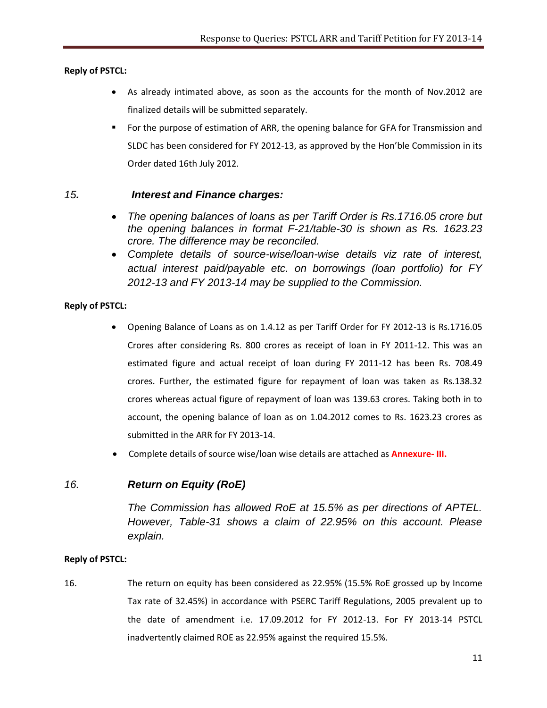### **Reply of PSTCL:**

- As already intimated above, as soon as the accounts for the month of Nov.2012 are finalized details will be submitted separately.
- **F** For the purpose of estimation of ARR, the opening balance for GFA for Transmission and SLDC has been considered for FY 2012-13, as approved by the Hon'ble Commission in its Order dated 16th July 2012.

## *15. Interest and Finance charges:*

- *The opening balances of loans as per Tariff Order is Rs.1716.05 crore but the opening balances in format F-21/table-30 is shown as Rs. 1623.23 crore. The difference may be reconciled.*
- *Complete details of source-wise/loan-wise details viz rate of interest, actual interest paid/payable etc. on borrowings (loan portfolio) for FY 2012-13 and FY 2013-14 may be supplied to the Commission.*

### **Reply of PSTCL:**

- Opening Balance of Loans as on 1.4.12 as per Tariff Order for FY 2012-13 is Rs.1716.05 Crores after considering Rs. 800 crores as receipt of loan in FY 2011-12. This was an estimated figure and actual receipt of loan during FY 2011-12 has been Rs. 708.49 crores. Further, the estimated figure for repayment of loan was taken as Rs.138.32 crores whereas actual figure of repayment of loan was 139.63 crores. Taking both in to account, the opening balance of loan as on 1.04.2012 comes to Rs. 1623.23 crores as submitted in the ARR for FY 2013-14.
- Complete details of source wise/loan wise details are attached as **Annexure- III.**

# *16. Return on Equity (RoE)*

*The Commission has allowed RoE at 15.5% as per directions of APTEL. However, Table-31 shows a claim of 22.95% on this account. Please explain.*

### **Reply of PSTCL:**

16. The return on equity has been considered as 22.95% (15.5% RoE grossed up by Income Tax rate of 32.45%) in accordance with PSERC Tariff Regulations, 2005 prevalent up to the date of amendment i.e. 17.09.2012 for FY 2012-13. For FY 2013-14 PSTCL inadvertently claimed ROE as 22.95% against the required 15.5%.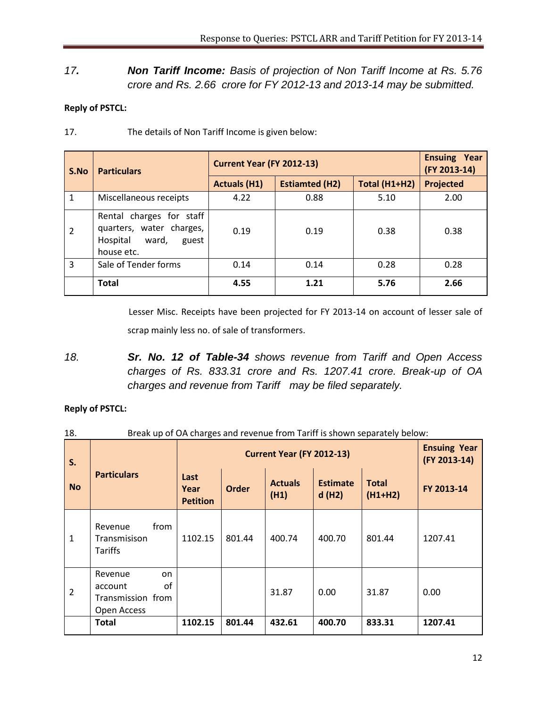# *17. Non Tariff Income: Basis of projection of Non Tariff Income at Rs. 5.76 crore and Rs. 2.66 crore for FY 2012-13 and 2013-14 may be submitted.*

## **Reply of PSTCL:**

| S.No | <b>Particulars</b>                                                                               | <b>Current Year (FY 2012-13)</b> | <b>Ensuing Year</b><br>(FY 2013-14) |               |           |
|------|--------------------------------------------------------------------------------------------------|----------------------------------|-------------------------------------|---------------|-----------|
|      |                                                                                                  | <b>Actuals (H1)</b>              | <b>Estiamted (H2)</b>               | Total (H1+H2) | Projected |
| 1    | Miscellaneous receipts                                                                           | 4.22                             | 0.88                                | 5.10          | 2.00      |
| 2    | Rental charges for staff<br>quarters, water charges,<br>Hospital<br>ward,<br>guest<br>house etc. | 0.19                             | 0.19                                | 0.38          | 0.38      |
| 3    | Sale of Tender forms                                                                             | 0.14                             | 0.14                                | 0.28          | 0.28      |
|      | <b>Total</b>                                                                                     | 4.55                             | 1.21                                | 5.76          | 2.66      |

### 17. The details of Non Tariff Income is given below:

Lesser Misc. Receipts have been projected for FY 2013-14 on account of lesser sale of scrap mainly less no. of sale of transformers.

*18. Sr. No. 12 of Table-34 shows revenue from Tariff and Open Access charges of Rs. 833.31 crore and Rs. 1207.41 crore. Break-up of OA charges and revenue from Tariff may be filed separately.*

| 18.            | Break up of OA charges and revenue from Tariff is shown separately below: |                                  |              |                        |                          |                           |                                     |
|----------------|---------------------------------------------------------------------------|----------------------------------|--------------|------------------------|--------------------------|---------------------------|-------------------------------------|
| S.             | <b>Particulars</b>                                                        | <b>Current Year (FY 2012-13)</b> |              |                        |                          |                           | <b>Ensuing Year</b><br>(FY 2013-14) |
| <b>No</b>      |                                                                           | Last<br>Year<br><b>Petition</b>  | <b>Order</b> | <b>Actuals</b><br>(H1) | <b>Estimate</b><br>d(H2) | <b>Total</b><br>$(H1+H2)$ | FY 2013-14                          |
| $\mathbf{1}$   | from<br>Revenue<br>Transmisison<br><b>Tariffs</b>                         | 1102.15                          | 801.44       | 400.74                 | 400.70                   | 801.44                    | 1207.41                             |
| $\overline{2}$ | Revenue<br>on<br>οf<br>account<br>Transmission from<br>Open Access        |                                  |              | 31.87                  | 0.00                     | 31.87                     | 0.00                                |
|                | <b>Total</b>                                                              | 1102.15                          | 801.44       | 432.61                 | 400.70                   | 833.31                    | 1207.41                             |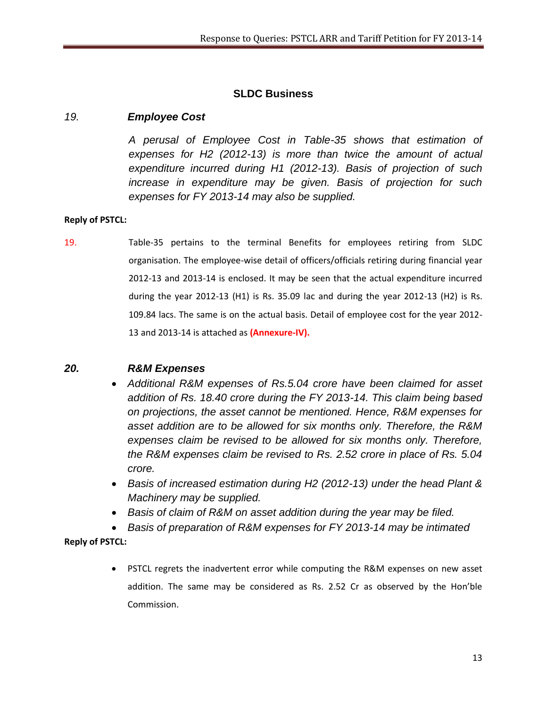# **SLDC Business**

## *19. Employee Cost*

*A perusal of Employee Cost in Table-35 shows that estimation of expenses for H2 (2012-13) is more than twice the amount of actual expenditure incurred during H1 (2012-13). Basis of projection of such increase in expenditure may be given. Basis of projection for such expenses for FY 2013-14 may also be supplied.*

### **Reply of PSTCL:**

19. Table-35 pertains to the terminal Benefits for employees retiring from SLDC organisation. The employee-wise detail of officers/officials retiring during financial year 2012-13 and 2013-14 is enclosed. It may be seen that the actual expenditure incurred during the year 2012-13 (H1) is Rs. 35.09 lac and during the year 2012-13 (H2) is Rs. 109.84 lacs. The same is on the actual basis. Detail of employee cost for the year 2012- 13 and 2013-14 is attached as **(Annexure-IV).**

### *20. R&M Expenses*

- *Additional R&M expenses of Rs.5.04 crore have been claimed for asset addition of Rs. 18.40 crore during the FY 2013-14. This claim being based on projections, the asset cannot be mentioned. Hence, R&M expenses for asset addition are to be allowed for six months only. Therefore, the R&M expenses claim be revised to be allowed for six months only. Therefore, the R&M expenses claim be revised to Rs. 2.52 crore in place of Rs. 5.04 crore.*
- *Basis of increased estimation during H2 (2012-13) under the head Plant & Machinery may be supplied.*
- *Basis of claim of R&M on asset addition during the year may be filed.*
- *Basis of preparation of R&M expenses for FY 2013-14 may be intimated*

### **Reply of PSTCL:**

 PSTCL regrets the inadvertent error while computing the R&M expenses on new asset addition. The same may be considered as Rs. 2.52 Cr as observed by the Hon'ble Commission.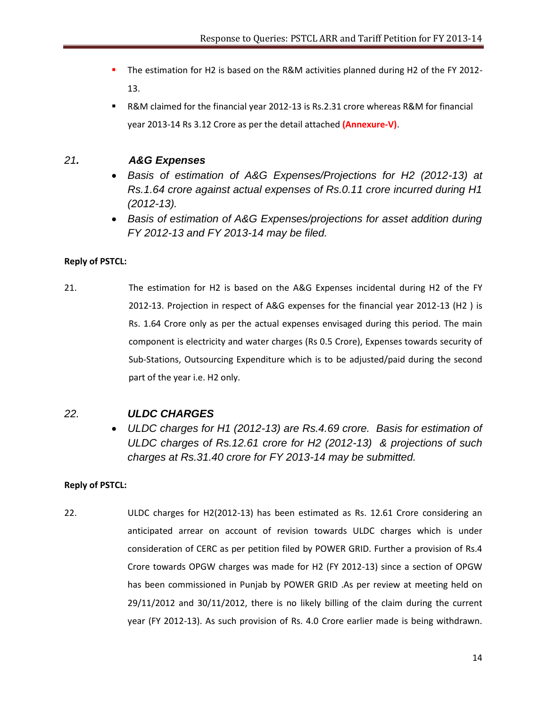- The estimation for H2 is based on the R&M activities planned during H2 of the FY 2012- 13.
- R&M claimed for the financial year 2012-13 is Rs.2.31 crore whereas R&M for financial year 2013-14 Rs 3.12 Crore as per the detail attached **(Annexure-V)**.

# *21. A&G Expenses*

- *Basis of estimation of A&G Expenses/Projections for H2 (2012-13) at Rs.1.64 crore against actual expenses of Rs.0.11 crore incurred during H1 (2012-13).*
- *Basis of estimation of A&G Expenses/projections for asset addition during FY 2012-13 and FY 2013-14 may be filed.*

## **Reply of PSTCL:**

21. The estimation for H2 is based on the A&G Expenses incidental during H2 of the FY 2012-13. Projection in respect of A&G expenses for the financial year 2012-13 (H2 ) is Rs. 1.64 Crore only as per the actual expenses envisaged during this period. The main component is electricity and water charges (Rs 0.5 Crore), Expenses towards security of Sub-Stations, Outsourcing Expenditure which is to be adjusted/paid during the second part of the year i.e. H2 only.

# *22. ULDC CHARGES*

 *ULDC charges for H1 (2012-13) are Rs.4.69 crore. Basis for estimation of ULDC charges of Rs.12.61 crore for H2 (2012-13) & projections of such charges at Rs.31.40 crore for FY 2013-14 may be submitted.*

## **Reply of PSTCL:**

22. ULDC charges for H2(2012-13) has been estimated as Rs. 12.61 Crore considering an anticipated arrear on account of revision towards ULDC charges which is under consideration of CERC as per petition filed by POWER GRID. Further a provision of Rs.4 Crore towards OPGW charges was made for H2 (FY 2012-13) since a section of OPGW has been commissioned in Punjab by POWER GRID .As per review at meeting held on 29/11/2012 and 30/11/2012, there is no likely billing of the claim during the current year (FY 2012-13). As such provision of Rs. 4.0 Crore earlier made is being withdrawn.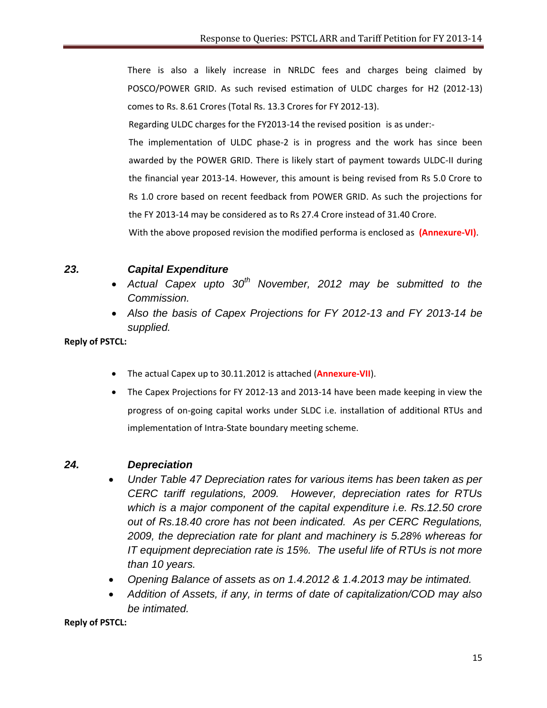There is also a likely increase in NRLDC fees and charges being claimed by POSCO/POWER GRID. As such revised estimation of ULDC charges for H2 (2012-13) comes to Rs. 8.61 Crores (Total Rs. 13.3 Crores for FY 2012-13).

Regarding ULDC charges for the FY2013-14 the revised position is as under:-

The implementation of ULDC phase-2 is in progress and the work has since been awarded by the POWER GRID. There is likely start of payment towards ULDC-II during the financial year 2013-14. However, this amount is being revised from Rs 5.0 Crore to Rs 1.0 crore based on recent feedback from POWER GRID. As such the projections for the FY 2013-14 may be considered as to Rs 27.4 Crore instead of 31.40 Crore.

With the above proposed revision the modified performa is enclosed as **(Annexure-VI)**.

## *23. Capital Expenditure*

- *Actual Capex upto 30th November, 2012 may be submitted to the Commission.*
- *Also the basis of Capex Projections for FY 2012-13 and FY 2013-14 be supplied.*

**Reply of PSTCL:**

- The actual Capex up to 30.11.2012 is attached (**Annexure-VII**).
- The Capex Projections for FY 2012-13 and 2013-14 have been made keeping in view the progress of on-going capital works under SLDC i.e. installation of additional RTUs and implementation of Intra-State boundary meeting scheme.

## *24. Depreciation*

- *Under Table 47 Depreciation rates for various items has been taken as per CERC tariff regulations, 2009. However, depreciation rates for RTUs which is a major component of the capital expenditure i.e. Rs.12.50 crore out of Rs.18.40 crore has not been indicated. As per CERC Regulations, 2009, the depreciation rate for plant and machinery is 5.28% whereas for IT equipment depreciation rate is 15%. The useful life of RTUs is not more than 10 years.*
- *Opening Balance of assets as on 1.4.2012 & 1.4.2013 may be intimated.*
- *Addition of Assets, if any, in terms of date of capitalization/COD may also be intimated.*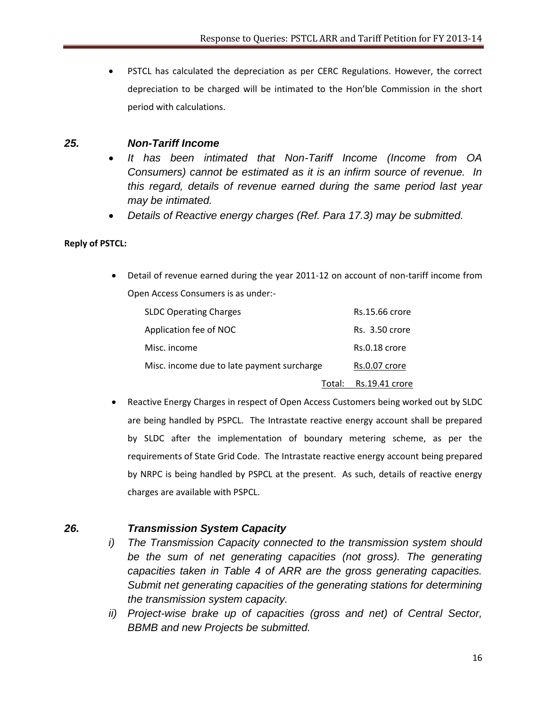PSTCL has calculated the depreciation as per CERC Regulations. However, the correct depreciation to be charged will be intimated to the Hon'ble Commission in the short period with calculations.

## *25. Non-Tariff Income*

- *It has been intimated that Non-Tariff Income (Income from OA Consumers) cannot be estimated as it is an infirm source of revenue. In this regard, details of revenue earned during the same period last year may be intimated.*
- *Details of Reactive energy charges (Ref. Para 17.3) may be submitted.*

## **Reply of PSTCL:**

 Detail of revenue earned during the year 2011-12 on account of non-tariff income from Open Access Consumers is as under:-

| <b>SLDC Operating Charges</b>              | Rs.15.66 crore        |
|--------------------------------------------|-----------------------|
| Application fee of NOC                     | Rs. 3.50 crore        |
| Misc. income                               | Rs.0.18 crore         |
| Misc. income due to late payment surcharge | Rs.0.07 crore         |
|                                            | Total: Rs.19.41 crore |

 Reactive Energy Charges in respect of Open Access Customers being worked out by SLDC are being handled by PSPCL. The Intrastate reactive energy account shall be prepared by SLDC after the implementation of boundary metering scheme, as per the requirements of State Grid Code. The Intrastate reactive energy account being prepared by NRPC is being handled by PSPCL at the present. As such, details of reactive energy charges are available with PSPCL.

# *26. Transmission System Capacity*

- *i) The Transmission Capacity connected to the transmission system should*  be the sum of net generating capacities (not gross). The generating *capacities taken in Table 4 of ARR are the gross generating capacities. Submit net generating capacities of the generating stations for determining the transmission system capacity.*
- *ii) Project-wise brake up of capacities (gross and net) of Central Sector, BBMB and new Projects be submitted.*